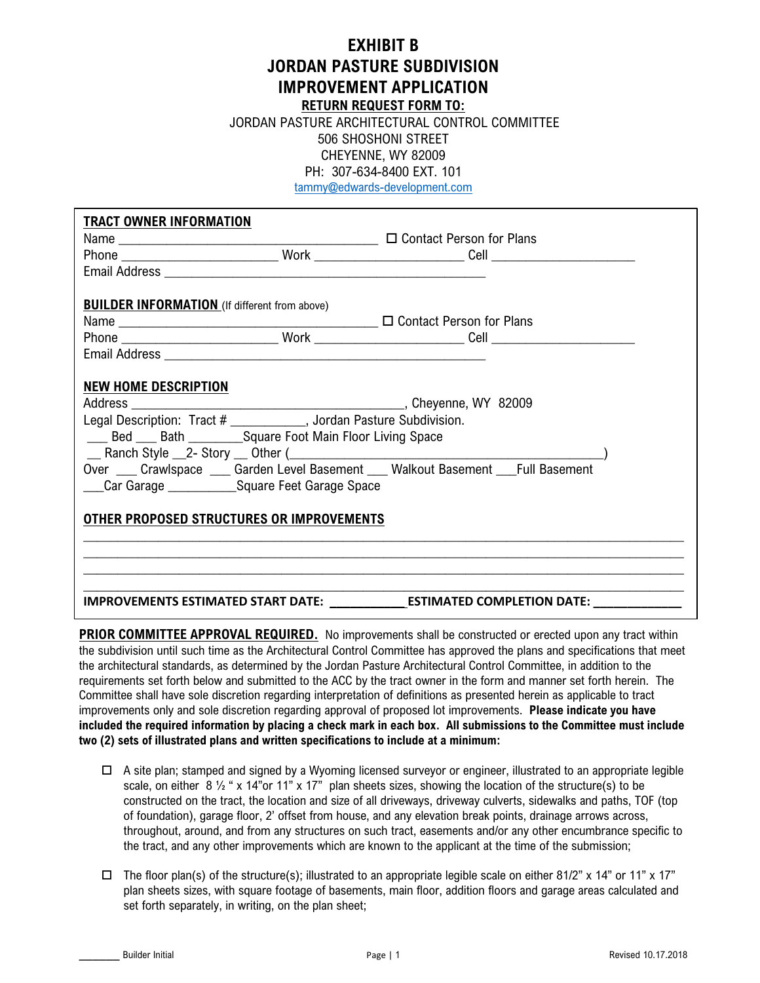## **EXHIBIT B JORDAN PASTURE SUBDIVISION IMPROVEMENT APPLICATION**

**RETURN REQUEST FORM TO:**

 JORDAN PASTURE ARCHITECTURAL CONTROL COMMITTEE 506 SHOSHONI STREET CHEYENNE, WY 82009 PH: 307-634-8400 EXT. 101

tammy@edwards-development.com

| <b>TRACT OWNER INFORMATION</b>                                                                                                                                       |  |                                                                                                      |
|----------------------------------------------------------------------------------------------------------------------------------------------------------------------|--|------------------------------------------------------------------------------------------------------|
|                                                                                                                                                                      |  |                                                                                                      |
|                                                                                                                                                                      |  |                                                                                                      |
|                                                                                                                                                                      |  |                                                                                                      |
| <b>BUILDER INFORMATION</b> (If different from above)                                                                                                                 |  |                                                                                                      |
|                                                                                                                                                                      |  |                                                                                                      |
|                                                                                                                                                                      |  |                                                                                                      |
|                                                                                                                                                                      |  |                                                                                                      |
| <b>NEW HOME DESCRIPTION</b><br>Legal Description: Tract # __________, Jordan Pasture Subdivision.<br>___ Bed ___ Bath ___________Square Foot Main Floor Living Space |  |                                                                                                      |
| Over ___ Crawlspace ___ Garden Level Basement ___ Walkout Basement ___Full Basement                                                                                  |  |                                                                                                      |
| OTHER PROPOSED STRUCTURES OR IMPROVEMENTS                                                                                                                            |  |                                                                                                      |
|                                                                                                                                                                      |  |                                                                                                      |
|                                                                                                                                                                      |  |                                                                                                      |
|                                                                                                                                                                      |  | IMPROVEMENTS ESTIMATED START DATE: ____________________ESTIMATED COMPLETION DATE: __________________ |

**PRIOR COMMITTEE APPROVAL REQUIRED.** No improvements shall be constructed or erected upon any tract within the subdivision until such time as the Architectural Control Committee has approved the plans and specifications that meet the architectural standards, as determined by the Jordan Pasture Architectural Control Committee, in addition to the requirements set forth below and submitted to the ACC by the tract owner in the form and manner set forth herein. The Committee shall have sole discretion regarding interpretation of definitions as presented herein as applicable to tract improvements only and sole discretion regarding approval of proposed lot improvements. **Please indicate you have included the required information by placing a check mark in each box. All submissions to the Committee must include two (2) sets of illustrated plans and written specifications to include at a minimum:**

- $\Box$  A site plan; stamped and signed by a Wyoming licensed surveyor or engineer, illustrated to an appropriate legible scale, on either 8  $\frac{1}{2}$  " x 14"or 11" x 17" plan sheets sizes, showing the location of the structure(s) to be constructed on the tract, the location and size of all driveways, driveway culverts, sidewalks and paths, TOF (top of foundation), garage floor, 2' offset from house, and any elevation break points, drainage arrows across, throughout, around, and from any structures on such tract, easements and/or any other encumbrance specific to the tract, and any other improvements which are known to the applicant at the time of the submission;
- $\Box$  The floor plan(s) of the structure(s); illustrated to an appropriate legible scale on either 81/2" x 14" or 11" x 17" plan sheets sizes, with square footage of basements, main floor, addition floors and garage areas calculated and set forth separately, in writing, on the plan sheet;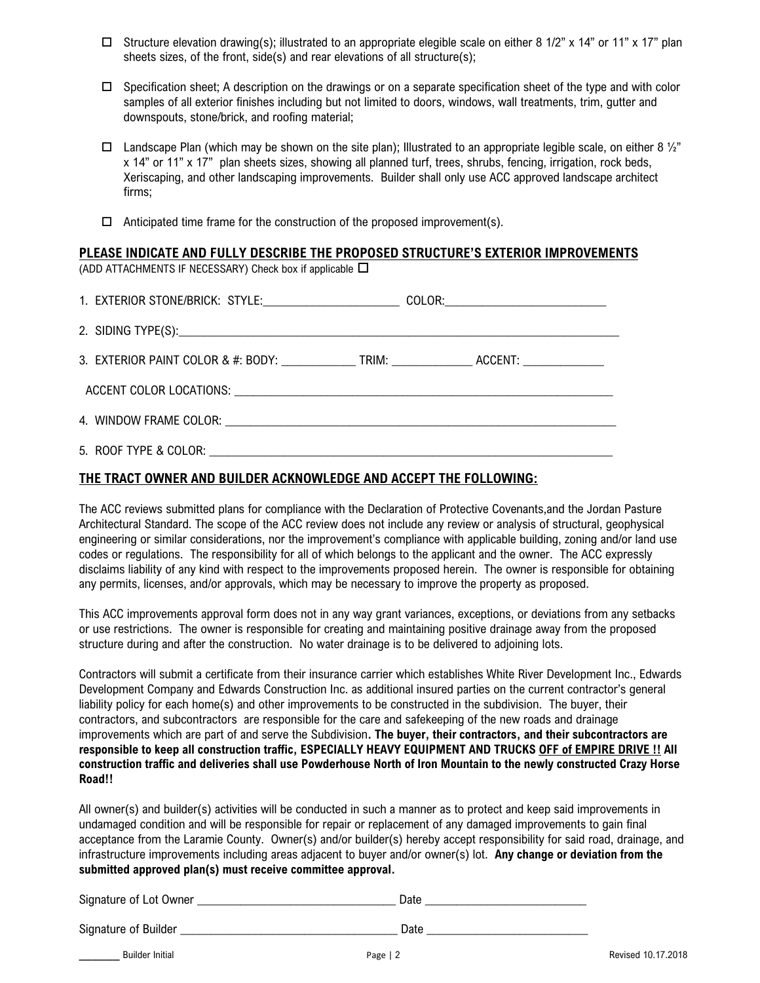- $\Box$  Structure elevation drawing(s); illustrated to an appropriate elegible scale on either 8 1/2" x 14" or 11" x 17" plan sheets sizes, of the front, side(s) and rear elevations of all structure(s);
- $\Box$  Specification sheet; A description on the drawings or on a separate specification sheet of the type and with color samples of all exterior finishes including but not limited to doors, windows, wall treatments, trim, gutter and downspouts, stone/brick, and roofing material;
- $\Box$  Landscape Plan (which may be shown on the site plan); Illustrated to an appropriate legible scale, on either 8  $\frac{1}{2}$ " x 14" or 11" x 17" plan sheets sizes, showing all planned turf, trees, shrubs, fencing, irrigation, rock beds, Xeriscaping, and other landscaping improvements. Builder shall only use ACC approved landscape architect firms;
- $\Box$  Anticipated time frame for the construction of the proposed improvement(s).

## **PLEASE INDICATE AND FULLY DESCRIBE THE PROPOSED STRUCTURE'S EXTERIOR IMPROVEMENTS**

(ADD ATTACHMENTS IF NECESSARY) Check box if applicable  $\Box$ 

| 1. EXTERIOR STONE/BRICK: STYLE:__________________________COLOR:_________________                          |  |
|-----------------------------------------------------------------------------------------------------------|--|
|                                                                                                           |  |
| 3. EXTERIOR PAINT COLOR & #: BODY: ________________TRIM: _______________________ ACCENT: ________________ |  |
|                                                                                                           |  |
|                                                                                                           |  |
|                                                                                                           |  |

## **THE TRACT OWNER AND BUILDER ACKNOWLEDGE AND ACCEPT THE FOLLOWING:**

The ACC reviews submitted plans for compliance with the Declaration of Protective Covenants,and the Jordan Pasture Architectural Standard. The scope of the ACC review does not include any review or analysis of structural, geophysical engineering or similar considerations, nor the improvement's compliance with applicable building, zoning and/or land use codes or regulations. The responsibility for all of which belongs to the applicant and the owner. The ACC expressly disclaims liability of any kind with respect to the improvements proposed herein. The owner is responsible for obtaining any permits, licenses, and/or approvals, which may be necessary to improve the property as proposed.

This ACC improvements approval form does not in any way grant variances, exceptions, or deviations from any setbacks or use restrictions. The owner is responsible for creating and maintaining positive drainage away from the proposed structure during and after the construction. No water drainage is to be delivered to adjoining lots.

Contractors will submit a certificate from their insurance carrier which establishes White River Development Inc., Edwards Development Company and Edwards Construction Inc. as additional insured parties on the current contractor's general liability policy for each home(s) and other improvements to be constructed in the subdivision. The buyer, their contractors, and subcontractors are responsible for the care and safekeeping of the new roads and drainage improvements which are part of and serve the Subdivision**. The buyer, their contractors, and their subcontractors are responsible to keep all construction traffic, ESPECIALLY HEAVY EQUIPMENT AND TRUCKS OFF of EMPIRE DRIVE !! All construction traffic and deliveries shall use Powderhouse North of Iron Mountain to the newly constructed Crazy Horse Road!!**

All owner(s) and builder(s) activities will be conducted in such a manner as to protect and keep said improvements in undamaged condition and will be responsible for repair or replacement of any damaged improvements to gain final acceptance from the Laramie County. Owner(s) and/or builder(s) hereby accept responsibility for said road, drainage, and infrastructure improvements including areas adjacent to buyer and/or owner(s) lot. **Any change or deviation from the submitted approved plan(s) must receive committee approval.**

| Signature of Lot Owner | Date |
|------------------------|------|
| Signature of Builder   | Date |